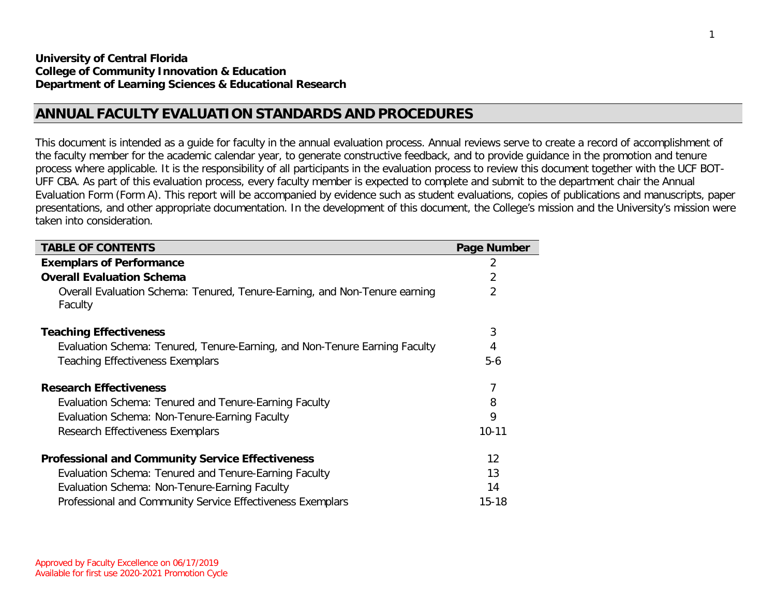# **ANNUAL FACULTY EVALUATION STANDARDS AND PROCEDURES**

This document is intended as a guide for faculty in the annual evaluation process. Annual reviews serve to create a record of accomplishment of the faculty member for the academic calendar year, to generate constructive feedback, and to provide guidance in the promotion and tenure process where applicable. It is the responsibility of all participants in the evaluation process to review this document together with the UCF BOT-UFF CBA. As part of this evaluation process, every faculty member is expected to complete and submit to the department chair the Annual Evaluation Form (Form A). This report will be accompanied by evidence such as student evaluations, copies of publications and manuscripts, paper presentations, and other appropriate documentation. In the development of this document, the College's mission and the University's mission were taken into consideration.

| <b>TABLE OF CONTENTS</b>                                                              | Page Number    |
|---------------------------------------------------------------------------------------|----------------|
| <b>Exemplars of Performance</b>                                                       | 2              |
| <b>Overall Evaluation Schema</b>                                                      | $\overline{2}$ |
| Overall Evaluation Schema: Tenured, Tenure-Earning, and Non-Tenure earning<br>Faculty | $\overline{2}$ |
| <b>Teaching Effectiveness</b>                                                         | 3              |
| Evaluation Schema: Tenured, Tenure-Earning, and Non-Tenure Earning Faculty            | 4              |
| <b>Teaching Effectiveness Exemplars</b>                                               | $5-6$          |
| <b>Research Effectiveness</b>                                                         | 7              |
| Evaluation Schema: Tenured and Tenure-Earning Faculty                                 | 8              |
| Evaluation Schema: Non-Tenure-Earning Faculty                                         | 9              |
| Research Effectiveness Exemplars                                                      | 10-11          |
| <b>Professional and Community Service Effectiveness</b>                               | 12             |
| Evaluation Schema: Tenured and Tenure-Earning Faculty                                 | 13             |
| Evaluation Schema: Non-Tenure-Earning Faculty                                         | 14             |
| Professional and Community Service Effectiveness Exemplars                            | 15-18          |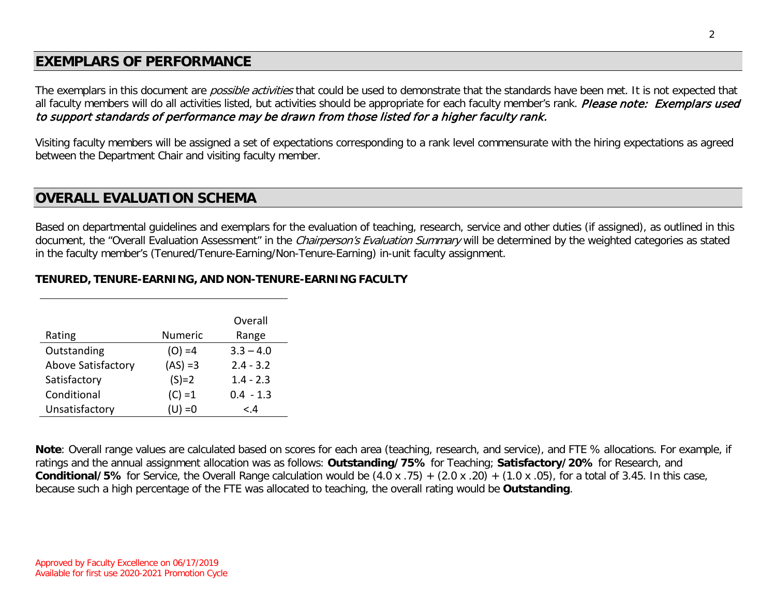# **EXEMPLARS OF PERFORMANCE**

The exemplars in this document are *possible activities* that could be used to demonstrate that the standards have been met. It is not expected that all faculty members will do all activities listed, but activities should be appropriate for each faculty member's rank. Please note: Exemplars used to support standards of performance may be drawn from those listed for a higher faculty rank.

Visiting faculty members will be assigned a set of expectations corresponding to a rank level commensurate with the hiring expectations as agreed between the Department Chair and visiting faculty member.

## **OVERALL EVALUATION SCHEMA**

Based on departmental guidelines and exemplars for the evaluation of teaching, research, service and other duties (if assigned), as outlined in this document, the "Overall Evaluation Assessment" in the *Chairperson's Evaluation Summary* will be determined by the weighted categories as stated in the faculty member's (Tenured/Tenure-Earning/Non-Tenure-Earning) in-unit faculty assignment.

## **TENURED, TENURE-EARNING, AND NON-TENURE-EARNING FACULTY**

|                           |            | Overall     |
|---------------------------|------------|-------------|
| Rating                    | Numeric    | Range       |
| Outstanding               | $(O) = 4$  | $3.3 - 4.0$ |
| <b>Above Satisfactory</b> | $(AS) = 3$ | $2.4 - 3.2$ |
| Satisfactory              | $(S)=2$    | $1.4 - 2.3$ |
| Conditional               | $(C) = 1$  | $0.4 - 1.3$ |
| Unsatisfactory            | $(U) = 0$  | < 4         |

**Note**: Overall range values are calculated based on scores for each area (teaching, research, and service), and FTE % allocations. For example, if ratings and the annual assignment allocation was as follows: **Outstanding/75%** for Teaching; **Satisfactory/20%** for Research, and **Conditional/5%** for Service, the Overall Range calculation would be  $(4.0 \times .75) + (2.0 \times .20) + (1.0 \times .05)$ , for a total of 3.45. In this case, because such a high percentage of the FTE was allocated to teaching, the overall rating would be **Outstanding**.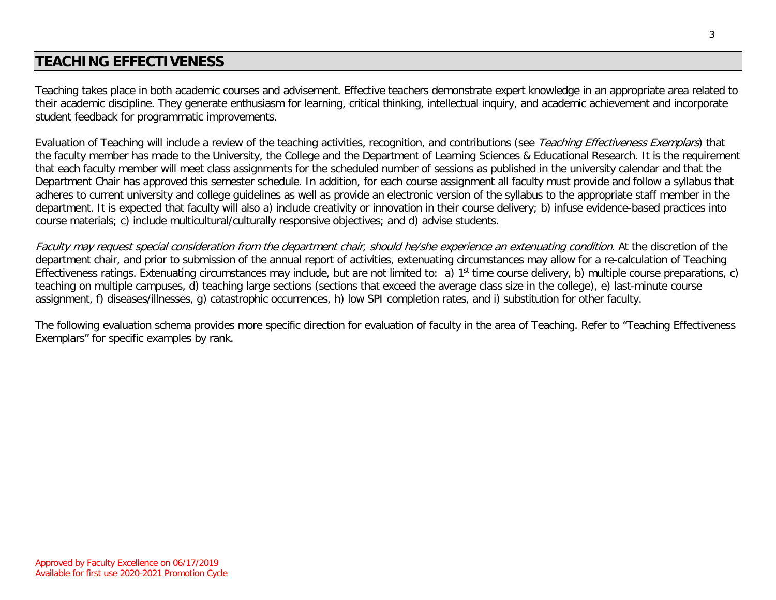# **TEACHING EFFECTIVENESS**

Teaching takes place in both academic courses and advisement. Effective teachers demonstrate expert knowledge in an appropriate area related to their academic discipline. They generate enthusiasm for learning, critical thinking, intellectual inquiry, and academic achievement and incorporate student feedback for programmatic improvements.

Evaluation of Teaching will include a review of the teaching activities, recognition, and contributions (see Teaching Effectiveness Exemplars) that the faculty member has made to the University, the College and the Department of Learning Sciences & Educational Research. It is the requirement that each faculty member will meet class assignments for the scheduled number of sessions as published in the university calendar and that the Department Chair has approved this semester schedule. In addition, for each course assignment all faculty must provide and follow a syllabus that adheres to current university and college guidelines as well as provide an electronic version of the syllabus to the appropriate staff member in the department. It is expected that faculty will also a) include creativity or innovation in their course delivery; b) infuse evidence-based practices into course materials; c) include multicultural/culturally responsive objectives; and d) advise students.

Faculty may request special consideration from the department chair, should he/she experience an extenuating condition. At the discretion of the department chair, and prior to submission of the annual report of activities, extenuating circumstances may allow for a re-calculation of Teaching Effectiveness ratings. Extenuating circumstances may include, but are not limited to: a) 1<sup>st</sup> time course delivery, b) multiple course preparations, c) teaching on multiple campuses, d) teaching large sections (sections that exceed the average class size in the college), e) last-minute course assignment, f) diseases/illnesses, g) catastrophic occurrences, h) low SPI completion rates, and i) substitution for other faculty.

The following evaluation schema provides more specific direction for evaluation of faculty in the area of Teaching. Refer to "Teaching Effectiveness Exemplars" for specific examples by rank.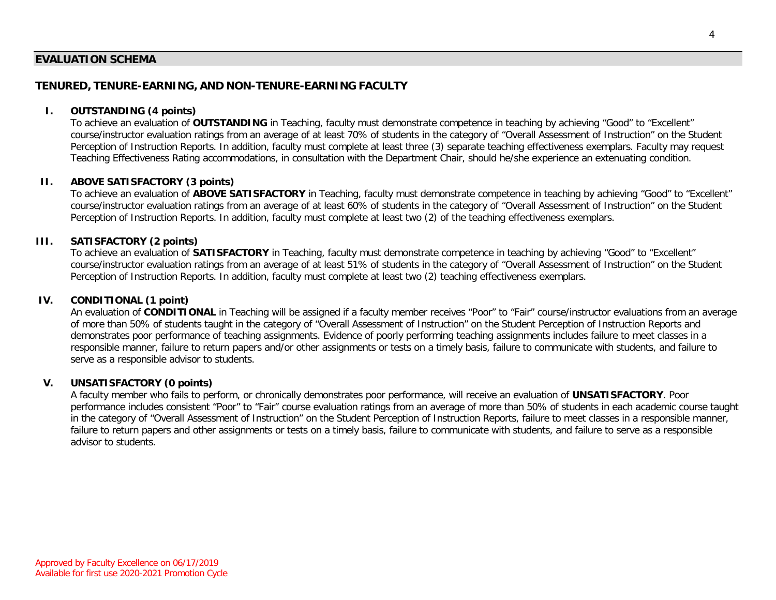#### **EVALUATION SCHEMA**

## **TENURED, TENURE-EARNING, AND NON-TENURE-EARNING FACULTY**

#### **I. OUTSTANDING (4 points)**

To achieve an evaluation of **OUTSTANDING** in Teaching, faculty must demonstrate competence in teaching by achieving "Good" to "Excellent" course/instructor evaluation ratings from an average of at least 70% of students in the category of "Overall Assessment of Instruction" on the Student Perception of Instruction Reports. In addition, faculty must complete at least three (3) separate teaching effectiveness exemplars. Faculty may request Teaching Effectiveness Rating accommodations, in consultation with the Department Chair, should he/she experience an extenuating condition.

#### **II. ABOVE SATISFACTORY (3 points)**

To achieve an evaluation of **ABOVE SATISFACTORY** in Teaching, faculty must demonstrate competence in teaching by achieving "Good" to "Excellent" course/instructor evaluation ratings from an average of at least 60% of students in the category of "Overall Assessment of Instruction" on the Student Perception of Instruction Reports. In addition, faculty must complete at least two (2) of the teaching effectiveness exemplars.

#### **III. SATISFACTORY (2 points)**

To achieve an evaluation of **SATISFACTORY** in Teaching, faculty must demonstrate competence in teaching by achieving "Good" to "Excellent" course/instructor evaluation ratings from an average of at least 51% of students in the category of "Overall Assessment of Instruction" on the Student Perception of Instruction Reports. In addition, faculty must complete at least two (2) teaching effectiveness exemplars.

#### **IV. CONDITIONAL (1 point)**

An evaluation of CONDITIONAL in Teaching will be assigned if a faculty member receives "Poor" to "Fair" course/instructor evaluations from an average of more than 50% of students taught in the category of "Overall Assessment of Instruction" on the Student Perception of Instruction Reports and demonstrates poor performance of teaching assignments. Evidence of poorly performing teaching assignments includes failure to meet classes in a responsible manner, failure to return papers and/or other assignments or tests on a timely basis, failure to communicate with students, and failure to serve as a responsible advisor to students.

#### **V. UNSATISFACTORY (0 points)**

A faculty member who fails to perform, or chronically demonstrates poor performance, will receive an evaluation of **UNSATISFACTORY**. Poor performance includes consistent "Poor" to "Fair" course evaluation ratings from an average of more than 50% of students in each academic course taught in the category of "Overall Assessment of Instruction" on the Student Perception of Instruction Reports, failure to meet classes in a responsible manner, failure to return papers and other assignments or tests on a timely basis, failure to communicate with students, and failure to serve as a responsible advisor to students.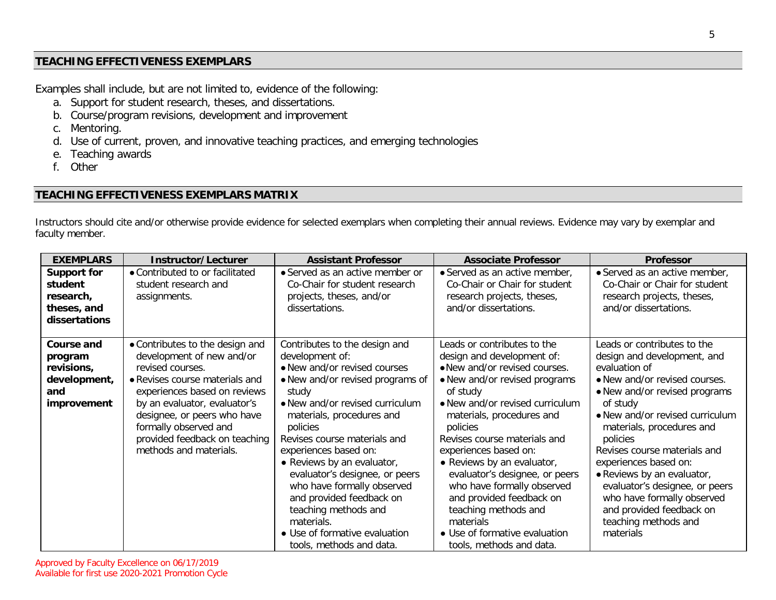## **TEACHING EFFECTIVENESS EXEMPLARS**

Examples shall include, but are not limited to, evidence of the following:

- a. Support for student research, theses, and dissertations.
- b. Course/program revisions, development and improvement
- c. Mentoring.
- d. Use of current, proven, and innovative teaching practices, and emerging technologies
- e. Teaching awards
- f. Other

## **TEACHING EFFECTIVENESS EXEMPLARS MATRIX**

Instructors should cite and/or otherwise provide evidence for selected exemplars when completing their annual reviews. Evidence may vary by exemplar and faculty member.

| <b>EXEMPLARS</b>   | Instructor/Lecturer             | <b>Assistant Professor</b>       | <b>Associate Professor</b>      | <b>Professor</b>                |
|--------------------|---------------------------------|----------------------------------|---------------------------------|---------------------------------|
| <b>Support for</b> | • Contributed to or facilitated | • Served as an active member or  | • Served as an active member,   | • Served as an active member,   |
| student            | student research and            | Co-Chair for student research    | Co-Chair or Chair for student   | Co-Chair or Chair for student   |
| research,          | assignments.                    | projects, theses, and/or         | research projects, theses,      | research projects, theses,      |
| theses, and        |                                 | dissertations.                   | and/or dissertations.           | and/or dissertations.           |
| dissertations      |                                 |                                  |                                 |                                 |
|                    |                                 |                                  |                                 |                                 |
| <b>Course and</b>  | • Contributes to the design and | Contributes to the design and    | Leads or contributes to the     | Leads or contributes to the     |
| program            | development of new and/or       | development of:                  | design and development of:      | design and development, and     |
| revisions,         | revised courses.                | • New and/or revised courses     | • New and/or revised courses.   | evaluation of                   |
| development,       | · Revises course materials and  | • New and/or revised programs of | • New and/or revised programs   | • New and/or revised courses.   |
| and                | experiences based on reviews    | study                            | of study                        | • New and/or revised programs   |
| improvement        | by an evaluator, evaluator's    | • New and/or revised curriculum  | • New and/or revised curriculum | of study                        |
|                    | designee, or peers who have     | materials, procedures and        | materials, procedures and       | • New and/or revised curriculum |
|                    | formally observed and           | policies                         | policies                        | materials, procedures and       |
|                    | provided feedback on teaching   | Revises course materials and     | Revises course materials and    | policies                        |
|                    | methods and materials.          | experiences based on:            | experiences based on:           | Revises course materials and    |
|                    |                                 | • Reviews by an evaluator,       | • Reviews by an evaluator,      | experiences based on:           |
|                    |                                 | evaluator's designee, or peers   | evaluator's designee, or peers  | • Reviews by an evaluator,      |
|                    |                                 | who have formally observed       | who have formally observed      | evaluator's designee, or peers  |
|                    |                                 | and provided feedback on         | and provided feedback on        | who have formally observed      |
|                    |                                 | teaching methods and             | teaching methods and            | and provided feedback on        |
|                    |                                 | materials.                       | materials                       | teaching methods and            |
|                    |                                 | • Use of formative evaluation    | • Use of formative evaluation   | materials                       |
|                    |                                 | tools, methods and data.         | tools, methods and data.        |                                 |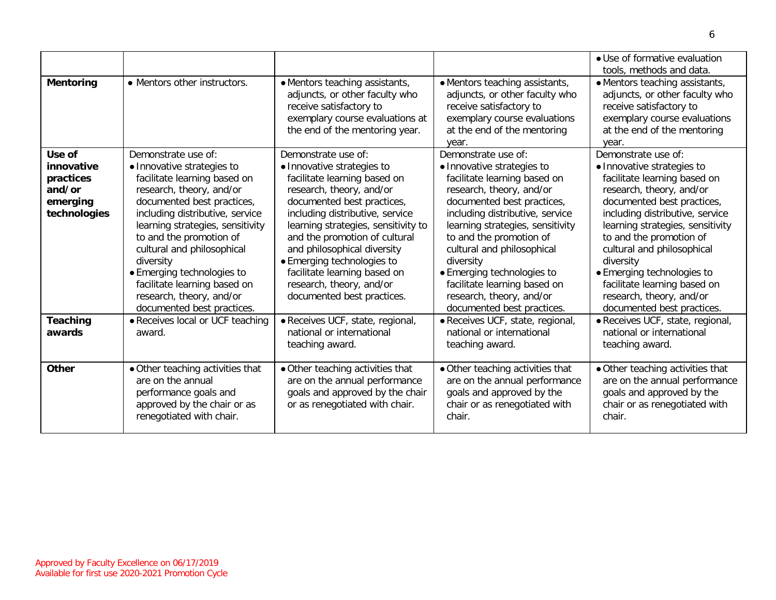|                                                                         |                                                                                                                                                                                                                                                                                                                                                                                                                  |                                                                                                                                                                                                                                                                                                                                                                                                               |                                                                                                                                                                                                                                                                                                                                                                                                                  | • Use of formative evaluation<br>tools, methods and data.                                                                                                                                                                                                                                                                                                                                                        |
|-------------------------------------------------------------------------|------------------------------------------------------------------------------------------------------------------------------------------------------------------------------------------------------------------------------------------------------------------------------------------------------------------------------------------------------------------------------------------------------------------|---------------------------------------------------------------------------------------------------------------------------------------------------------------------------------------------------------------------------------------------------------------------------------------------------------------------------------------------------------------------------------------------------------------|------------------------------------------------------------------------------------------------------------------------------------------------------------------------------------------------------------------------------------------------------------------------------------------------------------------------------------------------------------------------------------------------------------------|------------------------------------------------------------------------------------------------------------------------------------------------------------------------------------------------------------------------------------------------------------------------------------------------------------------------------------------------------------------------------------------------------------------|
| <b>Mentoring</b>                                                        | • Mentors other instructors.                                                                                                                                                                                                                                                                                                                                                                                     | • Mentors teaching assistants,<br>adjuncts, or other faculty who<br>receive satisfactory to<br>exemplary course evaluations at<br>the end of the mentoring year.                                                                                                                                                                                                                                              | • Mentors teaching assistants,<br>adjuncts, or other faculty who<br>receive satisfactory to<br>exemplary course evaluations<br>at the end of the mentoring<br>year.                                                                                                                                                                                                                                              | • Mentors teaching assistants,<br>adjuncts, or other faculty who<br>receive satisfactory to<br>exemplary course evaluations<br>at the end of the mentoring<br>year.                                                                                                                                                                                                                                              |
| Use of<br>innovative<br>practices<br>and/or<br>emerging<br>technologies | Demonstrate use of:<br>• Innovative strategies to<br>facilitate learning based on<br>research, theory, and/or<br>documented best practices,<br>including distributive, service<br>learning strategies, sensitivity<br>to and the promotion of<br>cultural and philosophical<br>diversity<br>• Emerging technologies to<br>facilitate learning based on<br>research, theory, and/or<br>documented best practices. | Demonstrate use of:<br>• Innovative strategies to<br>facilitate learning based on<br>research, theory, and/or<br>documented best practices,<br>including distributive, service<br>learning strategies, sensitivity to<br>and the promotion of cultural<br>and philosophical diversity<br>• Emerging technologies to<br>facilitate learning based on<br>research, theory, and/or<br>documented best practices. | Demonstrate use of:<br>• Innovative strategies to<br>facilitate learning based on<br>research, theory, and/or<br>documented best practices,<br>including distributive, service<br>learning strategies, sensitivity<br>to and the promotion of<br>cultural and philosophical<br>diversity<br>• Emerging technologies to<br>facilitate learning based on<br>research, theory, and/or<br>documented best practices. | Demonstrate use of:<br>• Innovative strategies to<br>facilitate learning based on<br>research, theory, and/or<br>documented best practices,<br>including distributive, service<br>learning strategies, sensitivity<br>to and the promotion of<br>cultural and philosophical<br>diversity<br>• Emerging technologies to<br>facilitate learning based on<br>research, theory, and/or<br>documented best practices. |
| Teaching<br>awards                                                      | • Receives local or UCF teaching<br>award.                                                                                                                                                                                                                                                                                                                                                                       | · Receives UCF, state, regional,<br>national or international<br>teaching award.                                                                                                                                                                                                                                                                                                                              | · Receives UCF, state, regional,<br>national or international<br>teaching award.                                                                                                                                                                                                                                                                                                                                 | · Receives UCF, state, regional,<br>national or international<br>teaching award.                                                                                                                                                                                                                                                                                                                                 |
| <b>Other</b>                                                            | • Other teaching activities that<br>are on the annual<br>performance goals and<br>approved by the chair or as<br>renegotiated with chair.                                                                                                                                                                                                                                                                        | • Other teaching activities that<br>are on the annual performance<br>goals and approved by the chair<br>or as renegotiated with chair.                                                                                                                                                                                                                                                                        | • Other teaching activities that<br>are on the annual performance<br>goals and approved by the<br>chair or as renegotiated with<br>chair.                                                                                                                                                                                                                                                                        | • Other teaching activities that<br>are on the annual performance<br>goals and approved by the<br>chair or as renegotiated with<br>chair.                                                                                                                                                                                                                                                                        |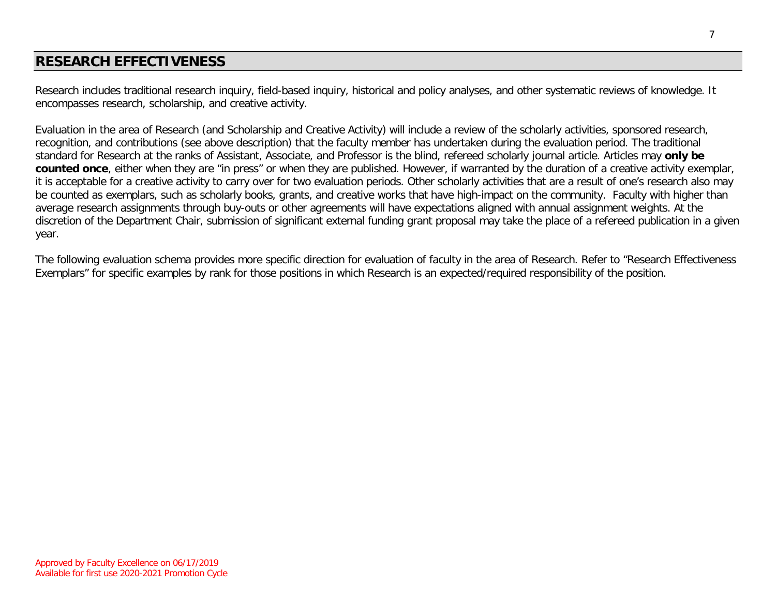# **RESEARCH EFFECTIVENESS**

Research includes traditional research inquiry, field-based inquiry, historical and policy analyses, and other systematic reviews of knowledge. It encompasses research, scholarship, and creative activity.

Evaluation in the area of Research (and Scholarship and Creative Activity) will include a review of the scholarly activities, sponsored research, recognition, and contributions (see above description) that the faculty member has undertaken during the evaluation period. The traditional standard for Research at the ranks of Assistant, Associate, and Professor is the blind, refereed scholarly journal article. Articles may **only be counted once**, either when they are "in press" or when they are published. However, if warranted by the duration of a creative activity exemplar, it is acceptable for a creative activity to carry over for two evaluation periods. Other scholarly activities that are a result of one's research also may be counted as exemplars, such as scholarly books, grants, and creative works that have high-impact on the community. Faculty with higher than average research assignments through buy-outs or other agreements will have expectations aligned with annual assignment weights. At the discretion of the Department Chair, submission of significant external funding grant proposal may take the place of a refereed publication in a given year.

The following evaluation schema provides more specific direction for evaluation of faculty in the area of Research. Refer to "Research Effectiveness Exemplars" for specific examples by rank for those positions in which Research is an expected/required responsibility of the position.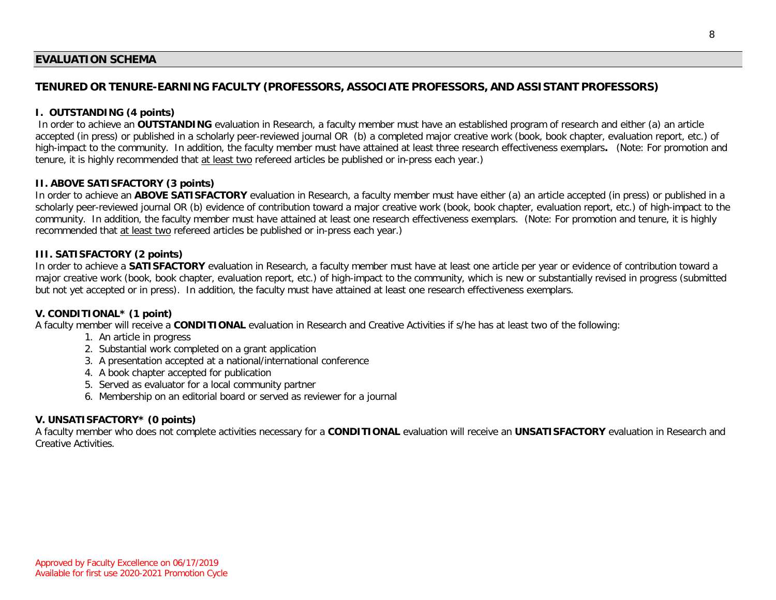## **EVALUATION SCHEMA**

## **TENURED OR TENURE-EARNING FACULTY (PROFESSORS, ASSOCIATE PROFESSORS, AND ASSISTANT PROFESSORS)**

## **I. OUTSTANDING (4 points)**

In order to achieve an **OUTSTANDING** evaluation in Research, a faculty member must have an established program of research and either (a) an article accepted (in press) or published in a scholarly peer-reviewed journal OR (b) a completed major creative work (book, book chapter, evaluation report, etc.) of high-impact to the community. In addition, the faculty member must have attained at least three research effectiveness exemplars**.** (Note: For promotion and tenure, it is highly recommended that at least two refereed articles be published or in-press each year.)

## **II. ABOVE SATISFACTORY (3 points)**

In order to achieve an **ABOVE SATISFACTORY** evaluation in Research, a faculty member must have either (a) an article accepted (in press) or published in a scholarly peer-reviewed journal OR (b) evidence of contribution toward a major creative work (book, book chapter, evaluation report, etc.) of high-impact to the community. In addition, the faculty member must have attained at least one research effectiveness exemplars. (Note: For promotion and tenure, it is highly recommended that at least two refereed articles be published or in-press each year.)

## **III. SATISFACTORY (2 points)**

In order to achieve a **SATISFACTORY** evaluation in Research, a faculty member must have at least one article per year or evidence of contribution toward a major creative work (book, book chapter, evaluation report, etc.) of high-impact to the community, which is new or substantially revised in progress (submitted but not yet accepted or in press). In addition, the faculty must have attained at least one research effectiveness exemplars.

## **V. CONDITIONAL\* (1 point)**

A faculty member will receive a **CONDITIONAL** evaluation in Research and Creative Activities if s/he has at least two of the following:

- 1. An article in progress
- 2. Substantial work completed on a grant application
- 3. A presentation accepted at a national/international conference
- 4. A book chapter accepted for publication
- 5. Served as evaluator for a local community partner
- 6. Membership on an editorial board or served as reviewer for a journal

## **V. UNSATISFACTORY\* (0 points)**

A faculty member who does not complete activities necessary for a **CONDITIONAL** evaluation will receive an **UNSATISFACTORY** evaluation in Research and Creative Activities.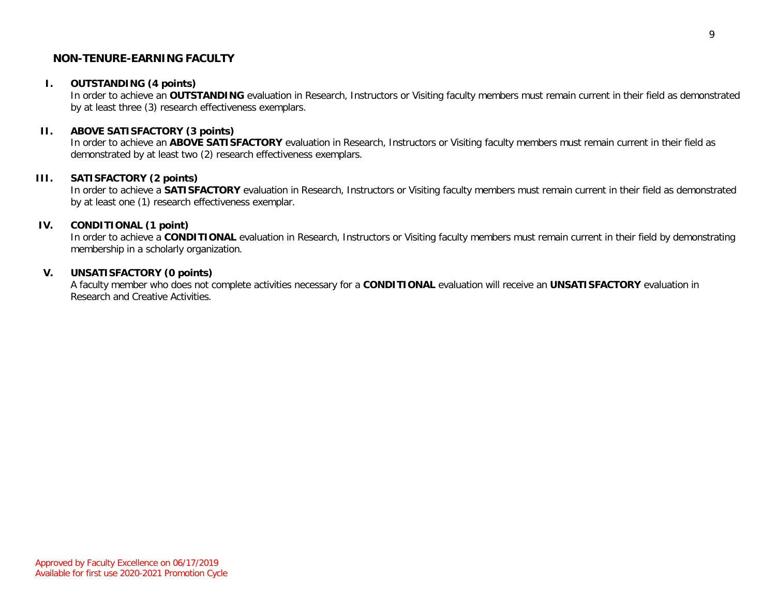#### **NON-TENURE-EARNING FACULTY**

#### **I. OUTSTANDING (4 points)**

In order to achieve an **OUTSTANDING** evaluation in Research, Instructors or Visiting faculty members must remain current in their field as demonstrated by at least three (3) research effectiveness exemplars.

#### **II. ABOVE SATISFACTORY (3 points)**

In order to achieve an **ABOVE SATISFACTORY** evaluation in Research, Instructors or Visiting faculty members must remain current in their field as demonstrated by at least two (2) research effectiveness exemplars.

#### **III. SATISFACTORY (2 points)**

In order to achieve a **SATISFACTORY** evaluation in Research, Instructors or Visiting faculty members must remain current in their field as demonstrated by at least one (1) research effectiveness exemplar.

#### **IV. CONDITIONAL (1 point)**

In order to achieve a **CONDITIONAL** evaluation in Research, Instructors or Visiting faculty members must remain current in their field by demonstrating membership in a scholarly organization.

#### **V. UNSATISFACTORY (0 points)**

A faculty member who does not complete activities necessary for a **CONDITIONAL** evaluation will receive an **UNSATISFACTORY** evaluation in Research and Creative Activities.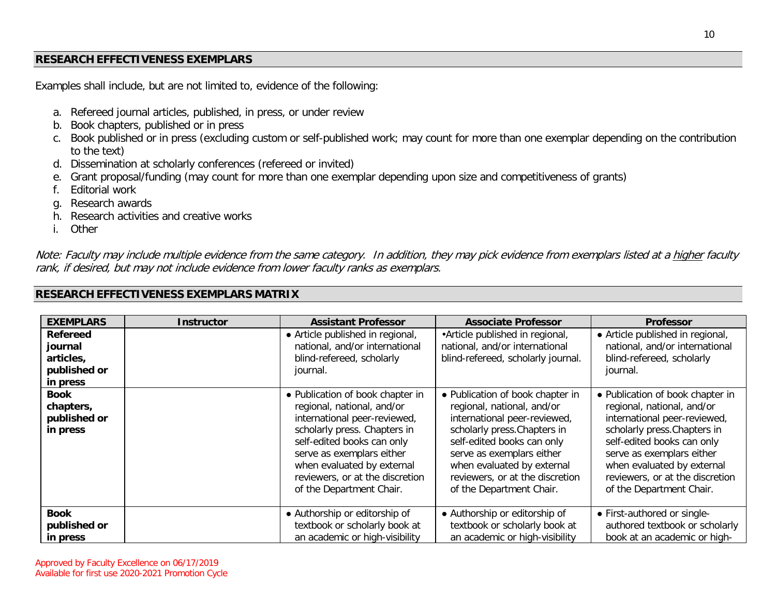## **RESEARCH EFFECTIVENESS EXEMPLARS**

Examples shall include, but are not limited to, evidence of the following:

- a. Refereed journal articles, published, in press, or under review
- b. Book chapters, published or in press
- c. Book published or in press (excluding custom or self-published work; may count for more than one exemplar depending on the contribution to the text)
- d. Dissemination at scholarly conferences (refereed or invited)
- e. Grant proposal/funding (may count for more than one exemplar depending upon size and competitiveness of grants)
- f. Editorial work
- g. Research awards
- h. Research activities and creative works
- i. Other

Note: Faculty may include multiple evidence from the same category. In addition, they may pick evidence from exemplars listed at a higher faculty rank, if desired, but may not include evidence from lower faculty ranks as exemplars.

## **RESEARCH EFFECTIVENESS EXEMPLARS MATRIX**

| <b>EXEMPLARS</b>                                                    | <b>Instructor</b> | <b>Assistant Professor</b>                                                                                                                                                                                                                                                             | <b>Associate Professor</b>                                                                                                                                                                                                                                                             | <b>Professor</b>                                                                                                                                                                                                                                                                       |
|---------------------------------------------------------------------|-------------------|----------------------------------------------------------------------------------------------------------------------------------------------------------------------------------------------------------------------------------------------------------------------------------------|----------------------------------------------------------------------------------------------------------------------------------------------------------------------------------------------------------------------------------------------------------------------------------------|----------------------------------------------------------------------------------------------------------------------------------------------------------------------------------------------------------------------------------------------------------------------------------------|
| <b>Refereed</b><br>journal<br>articles,<br>published or<br>in press |                   | • Article published in regional,<br>national, and/or international<br>blind-refereed, scholarly<br>journal.                                                                                                                                                                            | • Article published in regional,<br>national, and/or international<br>blind-refereed, scholarly journal.                                                                                                                                                                               | • Article published in regional,<br>national, and/or international<br>blind-refereed, scholarly<br>journal.                                                                                                                                                                            |
| <b>Book</b><br>chapters,<br>published or<br>in press                |                   | • Publication of book chapter in<br>regional, national, and/or<br>international peer-reviewed,<br>scholarly press. Chapters in<br>self-edited books can only<br>serve as exemplars either<br>when evaluated by external<br>reviewers, or at the discretion<br>of the Department Chair. | • Publication of book chapter in<br>regional, national, and/or<br>international peer-reviewed,<br>scholarly press. Chapters in<br>self-edited books can only<br>serve as exemplars either<br>when evaluated by external<br>reviewers, or at the discretion<br>of the Department Chair. | • Publication of book chapter in<br>regional, national, and/or<br>international peer-reviewed,<br>scholarly press. Chapters in<br>self-edited books can only<br>serve as exemplars either<br>when evaluated by external<br>reviewers, or at the discretion<br>of the Department Chair. |
| <b>Book</b><br>published or                                         |                   | • Authorship or editorship of<br>textbook or scholarly book at                                                                                                                                                                                                                         | • Authorship or editorship of<br>textbook or scholarly book at                                                                                                                                                                                                                         | • First-authored or single-<br>authored textbook or scholarly                                                                                                                                                                                                                          |
| in press                                                            |                   | an academic or high-visibility                                                                                                                                                                                                                                                         | an academic or high-visibility                                                                                                                                                                                                                                                         | book at an academic or high-                                                                                                                                                                                                                                                           |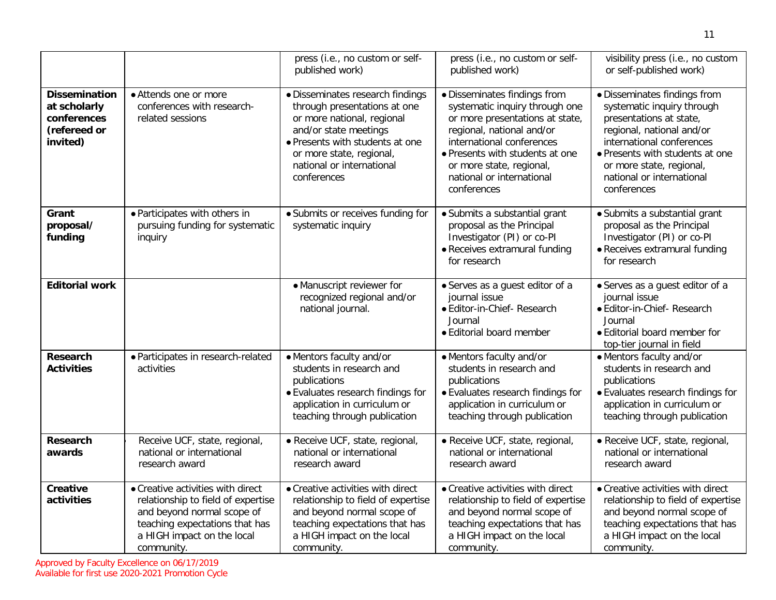|                                                                                 |                                                                                                                                                                                     | press (i.e., no custom or self-<br>published work)                                                                                                                                                                                 | press (i.e., no custom or self-<br>published work)                                                                                                                                                                                                                     | visibility press (i.e., no custom<br>or self-published work)                                                                                                                                                                                               |
|---------------------------------------------------------------------------------|-------------------------------------------------------------------------------------------------------------------------------------------------------------------------------------|------------------------------------------------------------------------------------------------------------------------------------------------------------------------------------------------------------------------------------|------------------------------------------------------------------------------------------------------------------------------------------------------------------------------------------------------------------------------------------------------------------------|------------------------------------------------------------------------------------------------------------------------------------------------------------------------------------------------------------------------------------------------------------|
| <b>Dissemination</b><br>at scholarly<br>conferences<br>(refereed or<br>invited) | • Attends one or more<br>conferences with research-<br>related sessions                                                                                                             | · Disseminates research findings<br>through presentations at one<br>or more national, regional<br>and/or state meetings<br>· Presents with students at one<br>or more state, regional,<br>national or international<br>conferences | · Disseminates findings from<br>systematic inquiry through one<br>or more presentations at state,<br>regional, national and/or<br>international conferences<br>· Presents with students at one<br>or more state, regional,<br>national or international<br>conferences | · Disseminates findings from<br>systematic inquiry through<br>presentations at state,<br>regional, national and/or<br>international conferences<br>• Presents with students at one<br>or more state, regional,<br>national or international<br>conferences |
| Grant<br>proposal/<br>funding                                                   | • Participates with others in<br>pursuing funding for systematic<br>inquiry                                                                                                         | · Submits or receives funding for<br>systematic inquiry                                                                                                                                                                            | · Submits a substantial grant<br>proposal as the Principal<br>Investigator (PI) or co-PI<br>· Receives extramural funding<br>for research                                                                                                                              | • Submits a substantial grant<br>proposal as the Principal<br>Investigator (PI) or co-PI<br>• Receives extramural funding<br>for research                                                                                                                  |
| <b>Editorial work</b>                                                           |                                                                                                                                                                                     | • Manuscript reviewer for<br>recognized regional and/or<br>national journal.                                                                                                                                                       | · Serves as a guest editor of a<br>journal issue<br>· Editor-in-Chief- Research<br>Journal<br>· Editorial board member                                                                                                                                                 | • Serves as a guest editor of a<br>journal issue<br>· Editor-in-Chief- Research<br>Journal<br>• Editorial board member for<br>top-tier journal in field                                                                                                    |
| <b>Research</b><br><b>Activities</b>                                            | · Participates in research-related<br>activities                                                                                                                                    | • Mentors faculty and/or<br>students in research and<br>publications<br>• Evaluates research findings for<br>application in curriculum or<br>teaching through publication                                                          | • Mentors faculty and/or<br>students in research and<br>publications<br>• Evaluates research findings for<br>application in curriculum or<br>teaching through publication                                                                                              | • Mentors faculty and/or<br>students in research and<br>publications<br>• Evaluates research findings for<br>application in curriculum or<br>teaching through publication                                                                                  |
| Research<br>awards                                                              | Receive UCF, state, regional,<br>national or international<br>research award                                                                                                        | · Receive UCF, state, regional,<br>national or international<br>research award                                                                                                                                                     | · Receive UCF, state, regional,<br>national or international<br>research award                                                                                                                                                                                         | · Receive UCF, state, regional,<br>national or international<br>research award                                                                                                                                                                             |
| <b>Creative</b><br>activities                                                   | • Creative activities with direct<br>relationship to field of expertise<br>and beyond normal scope of<br>teaching expectations that has<br>a HIGH impact on the local<br>community. | • Creative activities with direct<br>relationship to field of expertise<br>and beyond normal scope of<br>teaching expectations that has<br>a HIGH impact on the local<br>community.                                                | • Creative activities with direct<br>relationship to field of expertise<br>and beyond normal scope of<br>teaching expectations that has<br>a HIGH impact on the local<br>community.                                                                                    | • Creative activities with direct<br>relationship to field of expertise<br>and beyond normal scope of<br>teaching expectations that has<br>a HIGH impact on the local<br>community.                                                                        |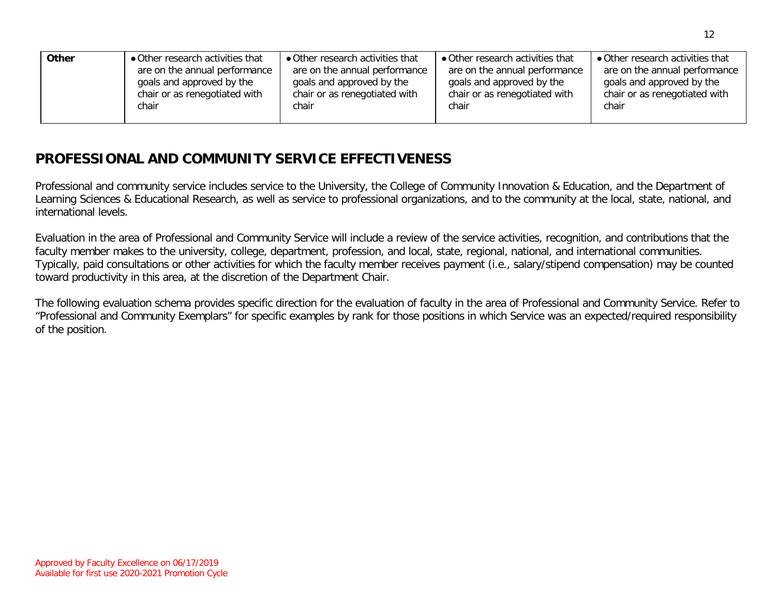| <b>Other</b> | • Other research activities that | • Other research activities that | • Other research activities that | • Other research activities that |
|--------------|----------------------------------|----------------------------------|----------------------------------|----------------------------------|
|              | are on the annual performance    | are on the annual performance    | are on the annual performance    | are on the annual performance    |
|              | goals and approved by the        | goals and approved by the        | goals and approved by the        | goals and approved by the        |
|              | chair or as renegotiated with    | chair or as renegotiated with    | chair or as renegotiated with    | chair or as renegotiated with    |
|              | chair                            | chair                            | chair                            | chair                            |
|              |                                  |                                  |                                  |                                  |

# **PROFESSIONAL AND COMMUNITY SERVICE EFFECTIVENESS**

Professional and community service includes service to the University, the College of Community Innovation & Education, and the Department of Learning Sciences & Educational Research, as well as service to professional organizations, and to the community at the local, state, national, and international levels.

Evaluation in the area of Professional and Community Service will include a review of the service activities, recognition, and contributions that the faculty member makes to the university, college, department, profession, and local, state, regional, national, and international communities. Typically, paid consultations or other activities for which the faculty member receives payment (i.e., salary/stipend compensation) may be counted toward productivity in this area, at the discretion of the Department Chair.

The following evaluation schema provides specific direction for the evaluation of faculty in the area of Professional and Community Service. Refer to "Professional and Community Exemplars" for specific examples by rank for those positions in which Service was an expected/required responsibility of the position.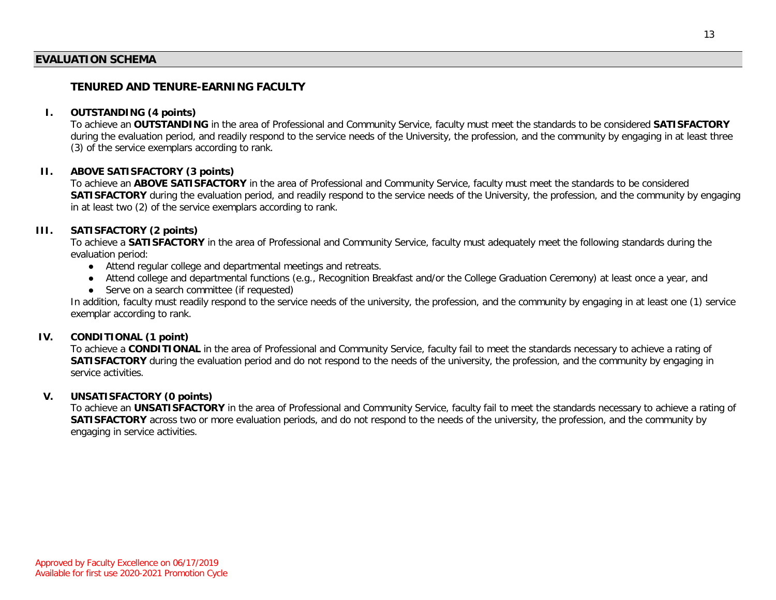#### **EVALUATION SCHEMA**

## **TENURED AND TENURE-EARNING FACULTY**

## **I. OUTSTANDING (4 points)**

To achieve an **OUTSTANDING** in the area of Professional and Community Service, faculty must meet the standards to be considered **SATISFACTORY** during the evaluation period, and readily respond to the service needs of the University, the profession, and the community by engaging in at least three (3) of the service exemplars according to rank.

#### **II. ABOVE SATISFACTORY (3 points)**

To achieve an **ABOVE SATISFACTORY** in the area of Professional and Community Service, faculty must meet the standards to be considered **SATISFACTORY** during the evaluation period, and readily respond to the service needs of the University, the profession, and the community by engaging in at least two (2) of the service exemplars according to rank.

#### **III. SATISFACTORY (2 points)**

To achieve a **SATISFACTORY** in the area of Professional and Community Service, faculty must adequately meet the following standards during the evaluation period:

- **●** Attend regular college and departmental meetings and retreats.
- **●** Attend college and departmental functions (e.g., Recognition Breakfast and/or the College Graduation Ceremony) at least once a year, and
- **●** Serve on a search committee (if requested)

In addition, faculty must readily respond to the service needs of the university, the profession, and the community by engaging in at least one (1) service exemplar according to rank.

## **IV. CONDITIONAL (1 point)**

To achieve a **CONDITIONAL** in the area of Professional and Community Service, faculty fail to meet the standards necessary to achieve a rating of **SATISFACTORY** during the evaluation period and do not respond to the needs of the university, the profession, and the community by engaging in service activities.

## **V. UNSATISFACTORY (0 points)**

To achieve an **UNSATISFACTORY** in the area of Professional and Community Service, faculty fail to meet the standards necessary to achieve a rating of **SATISFACTORY** across two or more evaluation periods, and do not respond to the needs of the university, the profession, and the community by engaging in service activities.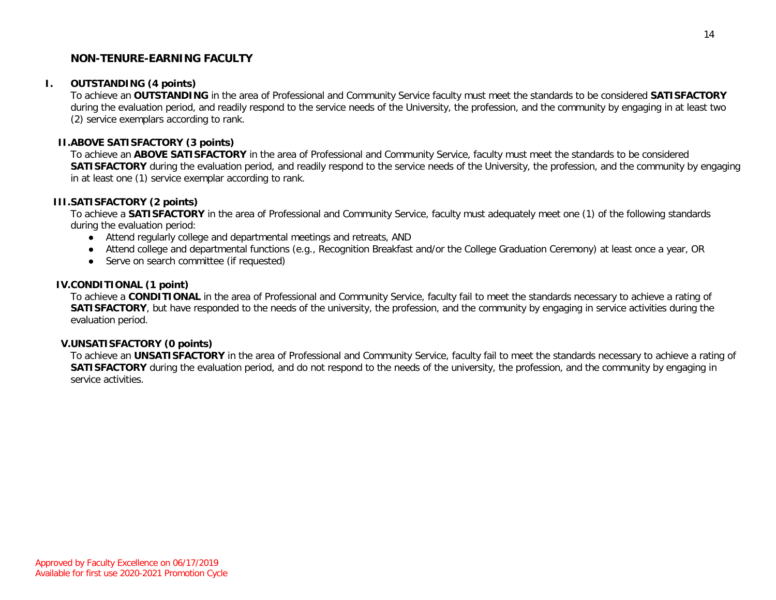## **NON-TENURE-EARNING FACULTY**

#### **I. OUTSTANDING (4 points)**

To achieve an **OUTSTANDING** in the area of Professional and Community Service faculty must meet the standards to be considered **SATISFACTORY** during the evaluation period, and readily respond to the service needs of the University, the profession, and the community by engaging in at least two (2) service exemplars according to rank.

#### **II.ABOVE SATISFACTORY (3 points)**

To achieve an **ABOVE SATISFACTORY** in the area of Professional and Community Service, faculty must meet the standards to be considered **SATISFACTORY** during the evaluation period, and readily respond to the service needs of the University, the profession, and the community by engaging in at least one (1) service exemplar according to rank.

#### **III.SATISFACTORY (2 points)**

To achieve a **SATISFACTORY** in the area of Professional and Community Service, faculty must adequately meet one (1) of the following standards during the evaluation period:

- Attend regularly college and departmental meetings and retreats, AND
- Attend college and departmental functions (e.g., Recognition Breakfast and/or the College Graduation Ceremony) at least once a year, OR
- Serve on search committee (if requested)

#### **IV.CONDITIONAL (1 point)**

To achieve a **CONDITIONAL** in the area of Professional and Community Service, faculty fail to meet the standards necessary to achieve a rating of **SATISFACTORY**, but have responded to the needs of the university, the profession, and the community by engaging in service activities during the evaluation period.

#### **V.UNSATISFACTORY (0 points)**

To achieve an **UNSATISFACTORY** in the area of Professional and Community Service, faculty fail to meet the standards necessary to achieve a rating of **SATISFACTORY** during the evaluation period, and do not respond to the needs of the university, the profession, and the community by engaging in service activities.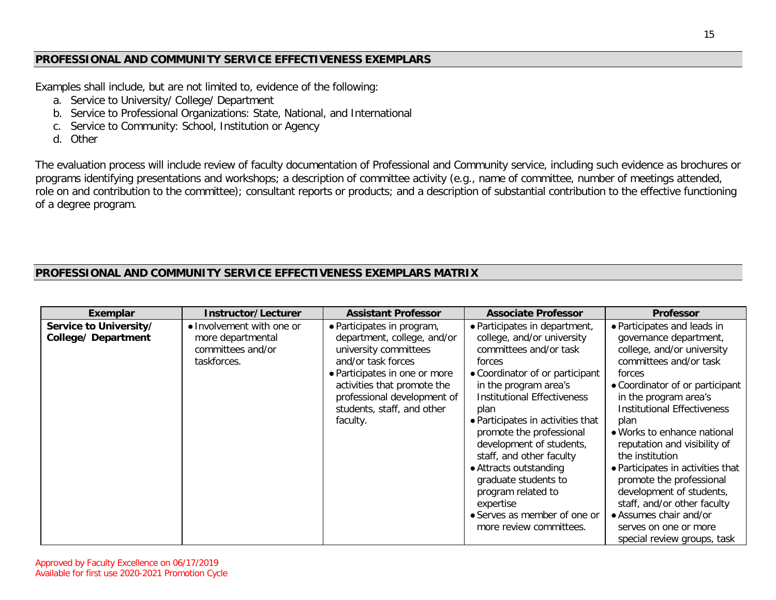## **PROFESSIONAL AND COMMUNITY SERVICE EFFECTIVENESS EXEMPLARS**

Examples shall include, but are not limited to, evidence of the following:

- a. Service to University/ College/ Department
- b. Service to Professional Organizations: State, National, and International
- c. Service to Community: School, Institution or Agency
- d. Other

The evaluation process will include review of faculty documentation of Professional and Community service, including such evidence as brochures or programs identifying presentations and workshops; a description of committee activity (e.g., name of committee, number of meetings attended, role on and contribution to the committee); consultant reports or products; and a description of substantial contribution to the effective functioning of a degree program.

## **PROFESSIONAL AND COMMUNITY SERVICE EFFECTIVENESS EXEMPLARS MATRIX**

| Exemplar                                             | Instructor/Lecturer                                                                | <b>Assistant Professor</b>                                                                                                                                                                                                                        | <b>Associate Professor</b>                                                                                                                                                                                                                                                                                                                                                                                                                                                         | <b>Professor</b>                                                                                                                                                                                                                                                                                                                                                                                                                                                                                                                  |
|------------------------------------------------------|------------------------------------------------------------------------------------|---------------------------------------------------------------------------------------------------------------------------------------------------------------------------------------------------------------------------------------------------|------------------------------------------------------------------------------------------------------------------------------------------------------------------------------------------------------------------------------------------------------------------------------------------------------------------------------------------------------------------------------------------------------------------------------------------------------------------------------------|-----------------------------------------------------------------------------------------------------------------------------------------------------------------------------------------------------------------------------------------------------------------------------------------------------------------------------------------------------------------------------------------------------------------------------------------------------------------------------------------------------------------------------------|
| Service to University/<br><b>College/ Department</b> | • Involvement with one or<br>more departmental<br>committees and/or<br>taskforces. | · Participates in program,<br>department, college, and/or<br>university committees<br>and/or task forces<br>• Participates in one or more<br>activities that promote the<br>professional development of<br>students, staff, and other<br>faculty. | • Participates in department,<br>college, and/or university<br>committees and/or task<br>forces<br>• Coordinator of or participant<br>in the program area's<br><b>Institutional Effectiveness</b><br>plan<br>• Participates in activities that<br>promote the professional<br>development of students,<br>staff, and other faculty<br>• Attracts outstanding<br>graduate students to<br>program related to<br>expertise<br>• Serves as member of one or<br>more review committees. | • Participates and leads in<br>governance department,<br>college, and/or university<br>committees and/or task<br>forces<br>• Coordinator of or participant<br>in the program area's<br><b>Institutional Effectiveness</b><br>plan<br>• Works to enhance national<br>reputation and visibility of<br>the institution<br>• Participates in activities that<br>promote the professional<br>development of students,<br>staff, and/or other faculty<br>• Assumes chair and/or<br>serves on one or more<br>special review groups, task |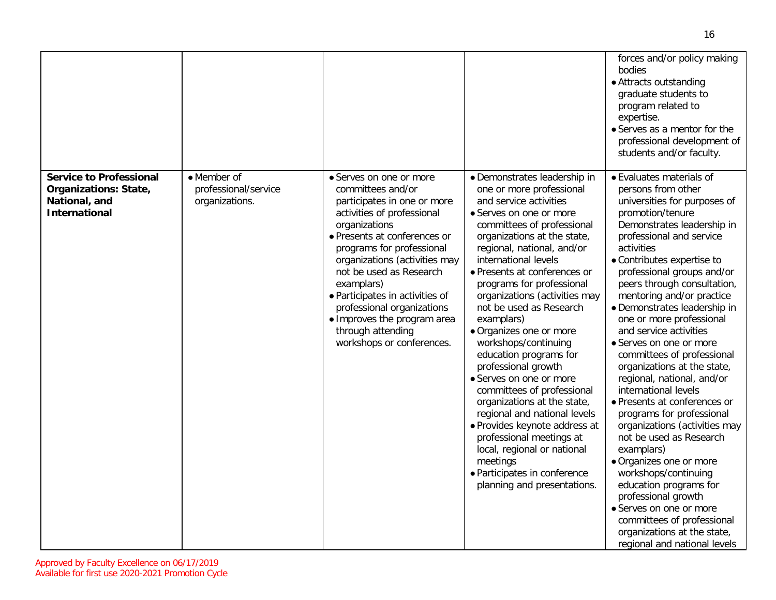|                                                                                                         |                                                       |                                                                                                                                                                                                                                                                                                                                                                                                                     |                                                                                                                                                                                                                                                                                                                                                                                                                                                                                                                                                                                                                                                                                                                                                                            | forces and/or policy making<br>bodies<br>• Attracts outstanding<br>graduate students to<br>program related to<br>expertise.<br>• Serves as a mentor for the<br>professional development of<br>students and/or faculty.                                                                                                                                                                                                                                                                                                                                                                                                                                                                                                                                                                                                                                                                                    |
|---------------------------------------------------------------------------------------------------------|-------------------------------------------------------|---------------------------------------------------------------------------------------------------------------------------------------------------------------------------------------------------------------------------------------------------------------------------------------------------------------------------------------------------------------------------------------------------------------------|----------------------------------------------------------------------------------------------------------------------------------------------------------------------------------------------------------------------------------------------------------------------------------------------------------------------------------------------------------------------------------------------------------------------------------------------------------------------------------------------------------------------------------------------------------------------------------------------------------------------------------------------------------------------------------------------------------------------------------------------------------------------------|-----------------------------------------------------------------------------------------------------------------------------------------------------------------------------------------------------------------------------------------------------------------------------------------------------------------------------------------------------------------------------------------------------------------------------------------------------------------------------------------------------------------------------------------------------------------------------------------------------------------------------------------------------------------------------------------------------------------------------------------------------------------------------------------------------------------------------------------------------------------------------------------------------------|
| <b>Service to Professional</b><br><b>Organizations: State,</b><br>National, and<br><b>International</b> | • Member of<br>professional/service<br>organizations. | • Serves on one or more<br>committees and/or<br>participates in one or more<br>activities of professional<br>organizations<br>● Presents at conferences or<br>programs for professional<br>organizations (activities may<br>not be used as Research<br>examplars)<br>• Participates in activities of<br>professional organizations<br>· Improves the program area<br>through attending<br>workshops or conferences. | · Demonstrates leadership in<br>one or more professional<br>and service activities<br>• Serves on one or more<br>committees of professional<br>organizations at the state,<br>regional, national, and/or<br>international levels<br>· Presents at conferences or<br>programs for professional<br>organizations (activities may<br>not be used as Research<br>examplars)<br>· Organizes one or more<br>workshops/continuing<br>education programs for<br>professional growth<br>· Serves on one or more<br>committees of professional<br>organizations at the state,<br>regional and national levels<br>· Provides keynote address at<br>professional meetings at<br>local, regional or national<br>meetings<br>· Participates in conference<br>planning and presentations. | • Evaluates materials of<br>persons from other<br>universities for purposes of<br>promotion/tenure<br>Demonstrates leadership in<br>professional and service<br>activities<br>• Contributes expertise to<br>professional groups and/or<br>peers through consultation,<br>mentoring and/or practice<br>• Demonstrates leadership in<br>one or more professional<br>and service activities<br>• Serves on one or more<br>committees of professional<br>organizations at the state,<br>regional, national, and/or<br>international levels<br>• Presents at conferences or<br>programs for professional<br>organizations (activities may<br>not be used as Research<br>examplars)<br>· Organizes one or more<br>workshops/continuing<br>education programs for<br>professional growth<br>• Serves on one or more<br>committees of professional<br>organizations at the state,<br>regional and national levels |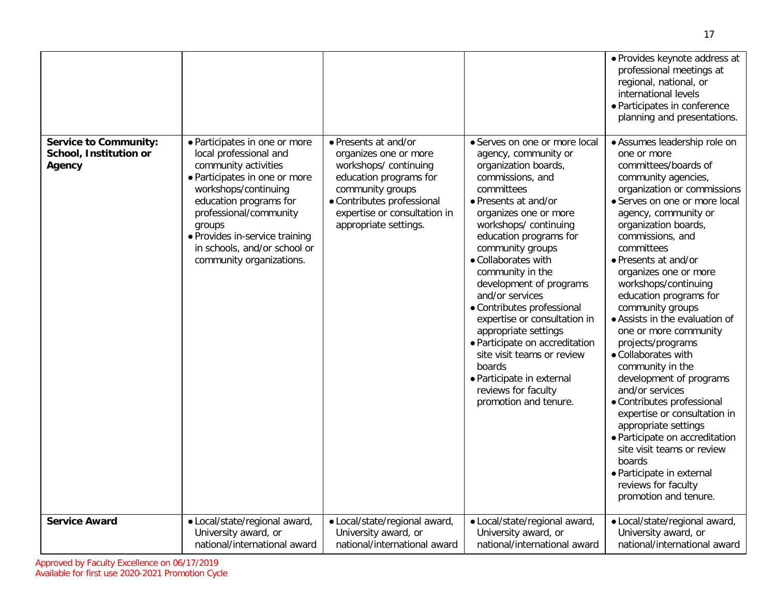| <b>Service to Community:</b>     | • Participates in one or more                                                                                                                                                                                                                                       | • Presents at and/or                                                                                                                                                               | • Serves on one or more local                                                                                                                                                                                                                                                                                                                                                                                                                                                                                                               | · Provides keynote address at<br>professional meetings at<br>regional, national, or<br>international levels<br>· Participates in conference<br>planning and presentations.<br>· Assumes leadership role on                                                                                                                                                                                                                                                                                                                                                                                                                                                                                                                                                |
|----------------------------------|---------------------------------------------------------------------------------------------------------------------------------------------------------------------------------------------------------------------------------------------------------------------|------------------------------------------------------------------------------------------------------------------------------------------------------------------------------------|---------------------------------------------------------------------------------------------------------------------------------------------------------------------------------------------------------------------------------------------------------------------------------------------------------------------------------------------------------------------------------------------------------------------------------------------------------------------------------------------------------------------------------------------|-----------------------------------------------------------------------------------------------------------------------------------------------------------------------------------------------------------------------------------------------------------------------------------------------------------------------------------------------------------------------------------------------------------------------------------------------------------------------------------------------------------------------------------------------------------------------------------------------------------------------------------------------------------------------------------------------------------------------------------------------------------|
| School, Institution or<br>Agency | local professional and<br>community activities<br>• Participates in one or more<br>workshops/continuing<br>education programs for<br>professional/community<br>groups<br>· Provides in-service training<br>in schools, and/or school or<br>community organizations. | organizes one or more<br>workshops/continuing<br>education programs for<br>community groups<br>• Contributes professional<br>expertise or consultation in<br>appropriate settings. | agency, community or<br>organization boards,<br>commissions, and<br>committees<br>• Presents at and/or<br>organizes one or more<br>workshops/continuing<br>education programs for<br>community groups<br>· Collaborates with<br>community in the<br>development of programs<br>and/or services<br>• Contributes professional<br>expertise or consultation in<br>appropriate settings<br>· Participate on accreditation<br>site visit teams or review<br>boards<br>• Participate in external<br>reviews for faculty<br>promotion and tenure. | one or more<br>committees/boards of<br>community agencies,<br>organization or commissions<br>• Serves on one or more local<br>agency, community or<br>organization boards,<br>commissions, and<br>committees<br>• Presents at and/or<br>organizes one or more<br>workshops/continuing<br>education programs for<br>community groups<br>• Assists in the evaluation of<br>one or more community<br>projects/programs<br>• Collaborates with<br>community in the<br>development of programs<br>and/or services<br>• Contributes professional<br>expertise or consultation in<br>appropriate settings<br>· Participate on accreditation<br>site visit teams or review<br>boards<br>• Participate in external<br>reviews for faculty<br>promotion and tenure. |
| <b>Service Award</b>             | · Local/state/regional award,<br>University award, or<br>national/international award                                                                                                                                                                               | · Local/state/regional award,<br>University award, or<br>national/international award                                                                                              | · Local/state/regional award,<br>University award, or<br>national/international award                                                                                                                                                                                                                                                                                                                                                                                                                                                       | · Local/state/regional award,<br>University award, or<br>national/international award                                                                                                                                                                                                                                                                                                                                                                                                                                                                                                                                                                                                                                                                     |